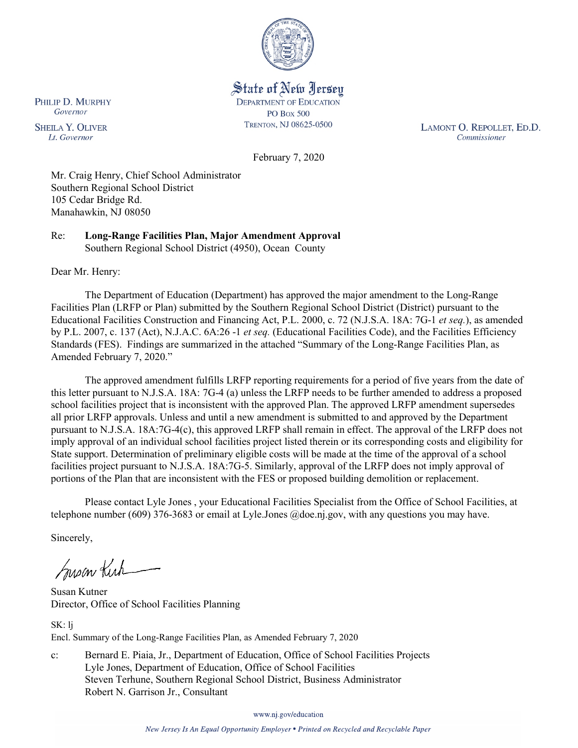

State of New Jersey **DEPARTMENT OF EDUCATION PO Box 500** TRENTON, NJ 08625-0500

LAMONT O. REPOLLET, ED.D. Commissioner

February 7, 2020

Mr. Craig Henry, Chief School Administrator Southern Regional School District 105 Cedar Bridge Rd. Manahawkin, NJ 08050

Re: **Long-Range Facilities Plan, Major Amendment Approval** Southern Regional School District (4950), Ocean County

Dear Mr. Henry:

The Department of Education (Department) has approved the major amendment to the Long-Range Facilities Plan (LRFP or Plan) submitted by the Southern Regional School District (District) pursuant to the Educational Facilities Construction and Financing Act, P.L. 2000, c. 72 (N.J.S.A. 18A: 7G-1 *et seq.*), as amended by P.L. 2007, c. 137 (Act), N.J.A.C. 6A:26 -1 *et seq.* (Educational Facilities Code), and the Facilities Efficiency Standards (FES). Findings are summarized in the attached "Summary of the Long-Range Facilities Plan, as Amended February 7, 2020."

The approved amendment fulfills LRFP reporting requirements for a period of five years from the date of this letter pursuant to N.J.S.A. 18A: 7G-4 (a) unless the LRFP needs to be further amended to address a proposed school facilities project that is inconsistent with the approved Plan. The approved LRFP amendment supersedes all prior LRFP approvals. Unless and until a new amendment is submitted to and approved by the Department pursuant to N.J.S.A. 18A:7G-4(c), this approved LRFP shall remain in effect. The approval of the LRFP does not imply approval of an individual school facilities project listed therein or its corresponding costs and eligibility for State support. Determination of preliminary eligible costs will be made at the time of the approval of a school facilities project pursuant to N.J.S.A. 18A:7G-5. Similarly, approval of the LRFP does not imply approval of portions of the Plan that are inconsistent with the FES or proposed building demolition or replacement.

Please contact Lyle Jones , your Educational Facilities Specialist from the Office of School Facilities, at telephone number (609) 376-3683 or email at Lyle.Jones @doe.nj.gov, with any questions you may have.

Sincerely,

Susan Kich

Susan Kutner Director, Office of School Facilities Planning

SK: lj Encl. Summary of the Long-Range Facilities Plan, as Amended February 7, 2020

c: Bernard E. Piaia, Jr., Department of Education, Office of School Facilities Projects Lyle Jones, Department of Education, Office of School Facilities Steven Terhune, Southern Regional School District, Business Administrator Robert N. Garrison Jr., Consultant

www.nj.gov/education

PHILIP D. MURPHY Governor

**SHEILA Y. OLIVER** Lt. Governor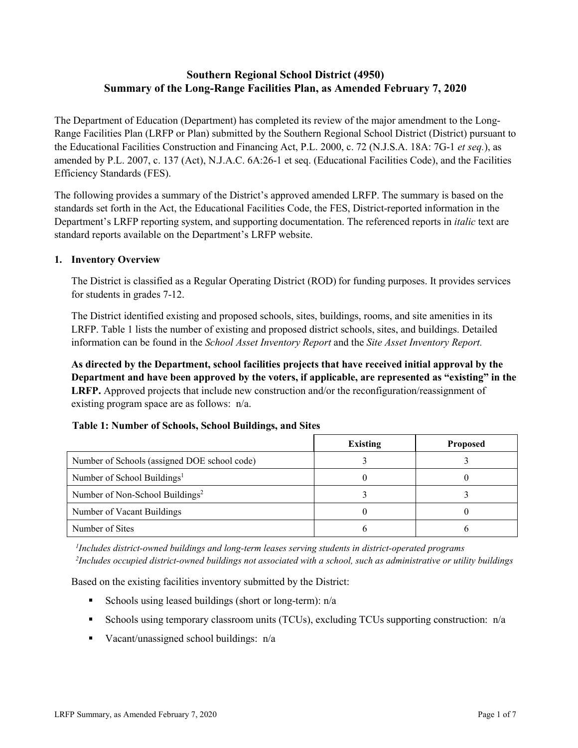# **Southern Regional School District (4950) Summary of the Long-Range Facilities Plan, as Amended February 7, 2020**

The Department of Education (Department) has completed its review of the major amendment to the Long-Range Facilities Plan (LRFP or Plan) submitted by the Southern Regional School District (District) pursuant to the Educational Facilities Construction and Financing Act, P.L. 2000, c. 72 (N.J.S.A. 18A: 7G-1 *et seq.*), as amended by P.L. 2007, c. 137 (Act), N.J.A.C. 6A:26-1 et seq. (Educational Facilities Code), and the Facilities Efficiency Standards (FES).

The following provides a summary of the District's approved amended LRFP. The summary is based on the standards set forth in the Act, the Educational Facilities Code, the FES, District-reported information in the Department's LRFP reporting system, and supporting documentation. The referenced reports in *italic* text are standard reports available on the Department's LRFP website.

### **1. Inventory Overview**

The District is classified as a Regular Operating District (ROD) for funding purposes. It provides services for students in grades 7-12.

The District identified existing and proposed schools, sites, buildings, rooms, and site amenities in its LRFP. Table 1 lists the number of existing and proposed district schools, sites, and buildings. Detailed information can be found in the *School Asset Inventory Report* and the *Site Asset Inventory Report.*

**As directed by the Department, school facilities projects that have received initial approval by the Department and have been approved by the voters, if applicable, are represented as "existing" in the LRFP.** Approved projects that include new construction and/or the reconfiguration/reassignment of existing program space are as follows: n/a.

|  |  | Table 1: Number of Schools, School Buildings, and Sites |  |
|--|--|---------------------------------------------------------|--|
|--|--|---------------------------------------------------------|--|

|                                              | <b>Existing</b> | <b>Proposed</b> |
|----------------------------------------------|-----------------|-----------------|
| Number of Schools (assigned DOE school code) |                 |                 |
| Number of School Buildings <sup>1</sup>      |                 |                 |
| Number of Non-School Buildings <sup>2</sup>  |                 |                 |
| Number of Vacant Buildings                   |                 |                 |
| Number of Sites                              |                 |                 |

*1 Includes district-owned buildings and long-term leases serving students in district-operated programs 2 Includes occupied district-owned buildings not associated with a school, such as administrative or utility buildings*

Based on the existing facilities inventory submitted by the District:

- Schools using leased buildings (short or long-term):  $n/a$
- Schools using temporary classroom units (TCUs), excluding TCUs supporting construction:  $n/a$
- Vacant/unassigned school buildings:  $n/a$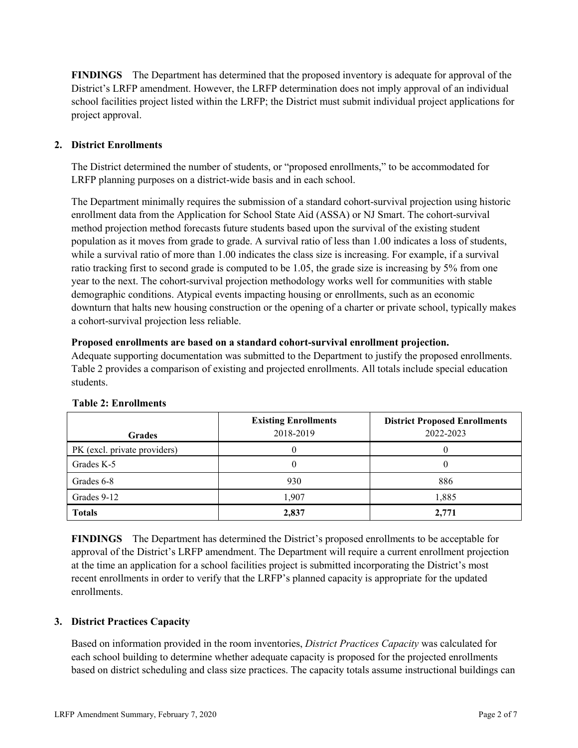**FINDINGS** The Department has determined that the proposed inventory is adequate for approval of the District's LRFP amendment. However, the LRFP determination does not imply approval of an individual school facilities project listed within the LRFP; the District must submit individual project applications for project approval.

# **2. District Enrollments**

The District determined the number of students, or "proposed enrollments," to be accommodated for LRFP planning purposes on a district-wide basis and in each school.

The Department minimally requires the submission of a standard cohort-survival projection using historic enrollment data from the Application for School State Aid (ASSA) or NJ Smart. The cohort-survival method projection method forecasts future students based upon the survival of the existing student population as it moves from grade to grade. A survival ratio of less than 1.00 indicates a loss of students, while a survival ratio of more than 1.00 indicates the class size is increasing. For example, if a survival ratio tracking first to second grade is computed to be 1.05, the grade size is increasing by 5% from one year to the next. The cohort-survival projection methodology works well for communities with stable demographic conditions. Atypical events impacting housing or enrollments, such as an economic downturn that halts new housing construction or the opening of a charter or private school, typically makes a cohort-survival projection less reliable.

### **Proposed enrollments are based on a standard cohort-survival enrollment projection.**

Adequate supporting documentation was submitted to the Department to justify the proposed enrollments. Table 2 provides a comparison of existing and projected enrollments. All totals include special education students.

|                              | <b>Existing Enrollments</b><br>2018-2019 | <b>District Proposed Enrollments</b><br>2022-2023 |
|------------------------------|------------------------------------------|---------------------------------------------------|
| <b>Grades</b>                |                                          |                                                   |
| PK (excl. private providers) |                                          |                                                   |
| Grades K-5                   |                                          |                                                   |
| Grades 6-8                   | 930                                      | 886                                               |
| Grades 9-12                  | 1,907                                    | 1,885                                             |
| <b>Totals</b>                | 2,837                                    | 2,771                                             |

# **Table 2: Enrollments**

**FINDINGS** The Department has determined the District's proposed enrollments to be acceptable for approval of the District's LRFP amendment. The Department will require a current enrollment projection at the time an application for a school facilities project is submitted incorporating the District's most recent enrollments in order to verify that the LRFP's planned capacity is appropriate for the updated enrollments.

# **3. District Practices Capacity**

Based on information provided in the room inventories, *District Practices Capacity* was calculated for each school building to determine whether adequate capacity is proposed for the projected enrollments based on district scheduling and class size practices. The capacity totals assume instructional buildings can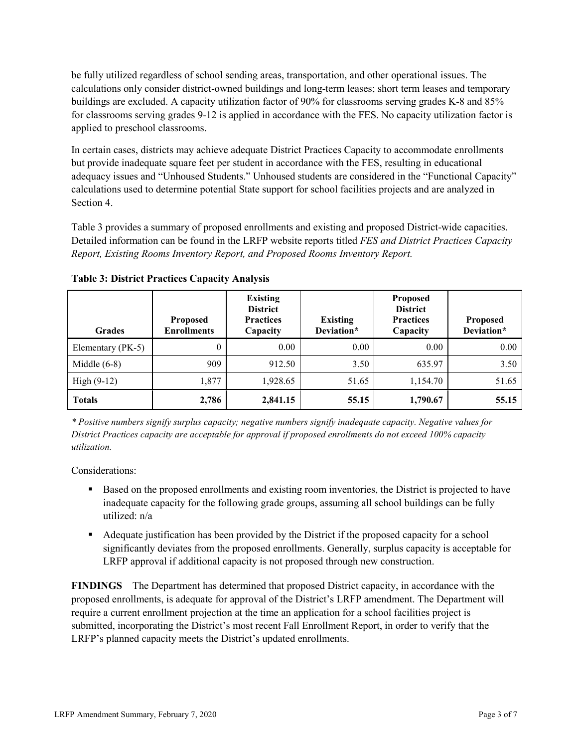be fully utilized regardless of school sending areas, transportation, and other operational issues. The calculations only consider district-owned buildings and long-term leases; short term leases and temporary buildings are excluded. A capacity utilization factor of 90% for classrooms serving grades K-8 and 85% for classrooms serving grades 9-12 is applied in accordance with the FES. No capacity utilization factor is applied to preschool classrooms.

In certain cases, districts may achieve adequate District Practices Capacity to accommodate enrollments but provide inadequate square feet per student in accordance with the FES, resulting in educational adequacy issues and "Unhoused Students." Unhoused students are considered in the "Functional Capacity" calculations used to determine potential State support for school facilities projects and are analyzed in Section 4.

Table 3 provides a summary of proposed enrollments and existing and proposed District-wide capacities. Detailed information can be found in the LRFP website reports titled *FES and District Practices Capacity Report, Existing Rooms Inventory Report, and Proposed Rooms Inventory Report.*

| <b>Grades</b>     | <b>Proposed</b><br><b>Enrollments</b> | <b>Existing</b><br><b>District</b><br><b>Practices</b><br>Capacity | <b>Existing</b><br>Deviation* | <b>Proposed</b><br><b>District</b><br><b>Practices</b><br>Capacity | <b>Proposed</b><br>Deviation* |
|-------------------|---------------------------------------|--------------------------------------------------------------------|-------------------------------|--------------------------------------------------------------------|-------------------------------|
| Elementary (PK-5) | $\theta$                              | 0.00                                                               | 0.00                          | 0.00                                                               | 0.00                          |
| Middle $(6-8)$    | 909                                   | 912.50                                                             | 3.50                          | 635.97                                                             | 3.50                          |
| High $(9-12)$     | 1,877                                 | 1,928.65                                                           | 51.65                         | 1,154.70                                                           | 51.65                         |
| <b>Totals</b>     | 2,786                                 | 2,841.15                                                           | 55.15                         | 1,790.67                                                           | 55.15                         |

**Table 3: District Practices Capacity Analysis**

*\* Positive numbers signify surplus capacity; negative numbers signify inadequate capacity. Negative values for District Practices capacity are acceptable for approval if proposed enrollments do not exceed 100% capacity utilization.*

Considerations:

- **Based on the proposed enrollments and existing room inventories, the District is projected to have** inadequate capacity for the following grade groups, assuming all school buildings can be fully utilized: n/a
- Adequate justification has been provided by the District if the proposed capacity for a school significantly deviates from the proposed enrollments. Generally, surplus capacity is acceptable for LRFP approval if additional capacity is not proposed through new construction.

**FINDINGS**The Department has determined that proposed District capacity, in accordance with the proposed enrollments, is adequate for approval of the District's LRFP amendment. The Department will require a current enrollment projection at the time an application for a school facilities project is submitted, incorporating the District's most recent Fall Enrollment Report, in order to verify that the LRFP's planned capacity meets the District's updated enrollments.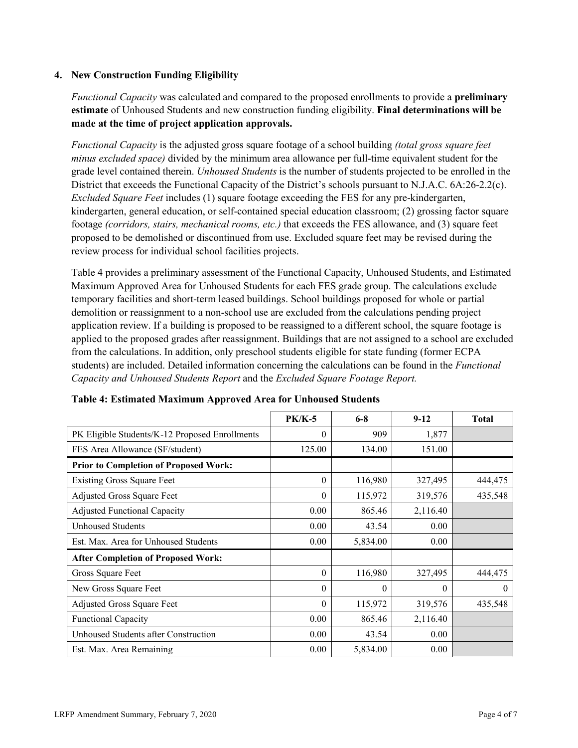### **4. New Construction Funding Eligibility**

*Functional Capacity* was calculated and compared to the proposed enrollments to provide a **preliminary estimate** of Unhoused Students and new construction funding eligibility. **Final determinations will be made at the time of project application approvals.**

*Functional Capacity* is the adjusted gross square footage of a school building *(total gross square feet minus excluded space)* divided by the minimum area allowance per full-time equivalent student for the grade level contained therein. *Unhoused Students* is the number of students projected to be enrolled in the District that exceeds the Functional Capacity of the District's schools pursuant to N.J.A.C. 6A:26-2.2(c). *Excluded Square Feet* includes (1) square footage exceeding the FES for any pre-kindergarten, kindergarten, general education, or self-contained special education classroom; (2) grossing factor square footage *(corridors, stairs, mechanical rooms, etc.)* that exceeds the FES allowance, and (3) square feet proposed to be demolished or discontinued from use. Excluded square feet may be revised during the review process for individual school facilities projects.

Table 4 provides a preliminary assessment of the Functional Capacity, Unhoused Students, and Estimated Maximum Approved Area for Unhoused Students for each FES grade group. The calculations exclude temporary facilities and short-term leased buildings. School buildings proposed for whole or partial demolition or reassignment to a non-school use are excluded from the calculations pending project application review. If a building is proposed to be reassigned to a different school, the square footage is applied to the proposed grades after reassignment. Buildings that are not assigned to a school are excluded from the calculations. In addition, only preschool students eligible for state funding (former ECPA students) are included. Detailed information concerning the calculations can be found in the *Functional Capacity and Unhoused Students Report* and the *Excluded Square Footage Report.*

|                                                | <b>PK/K-5</b> | $6 - 8$  | $9 - 12$ | <b>Total</b> |
|------------------------------------------------|---------------|----------|----------|--------------|
| PK Eligible Students/K-12 Proposed Enrollments | $\theta$      | 909      | 1,877    |              |
| FES Area Allowance (SF/student)                | 125.00        | 134.00   | 151.00   |              |
| <b>Prior to Completion of Proposed Work:</b>   |               |          |          |              |
| <b>Existing Gross Square Feet</b>              | $\Omega$      | 116,980  | 327,495  | 444,475      |
| Adjusted Gross Square Feet                     | $\theta$      | 115,972  | 319,576  | 435,548      |
| <b>Adjusted Functional Capacity</b>            | 0.00          | 865.46   | 2,116.40 |              |
| <b>Unhoused Students</b>                       | 0.00          | 43.54    | 0.00     |              |
| Est. Max. Area for Unhoused Students           | 0.00          | 5,834.00 | 0.00     |              |
| <b>After Completion of Proposed Work:</b>      |               |          |          |              |
| Gross Square Feet                              | $\theta$      | 116,980  | 327,495  | 444,475      |
| New Gross Square Feet                          | $\Omega$      | $\theta$ | $\theta$ | $\theta$     |
| Adjusted Gross Square Feet                     | $\Omega$      | 115,972  | 319,576  | 435,548      |
| Functional Capacity                            | 0.00          | 865.46   | 2,116.40 |              |
| Unhoused Students after Construction           | 0.00          | 43.54    | 0.00     |              |
| Est. Max. Area Remaining                       | 0.00          | 5,834.00 | 0.00     |              |

#### **Table 4: Estimated Maximum Approved Area for Unhoused Students**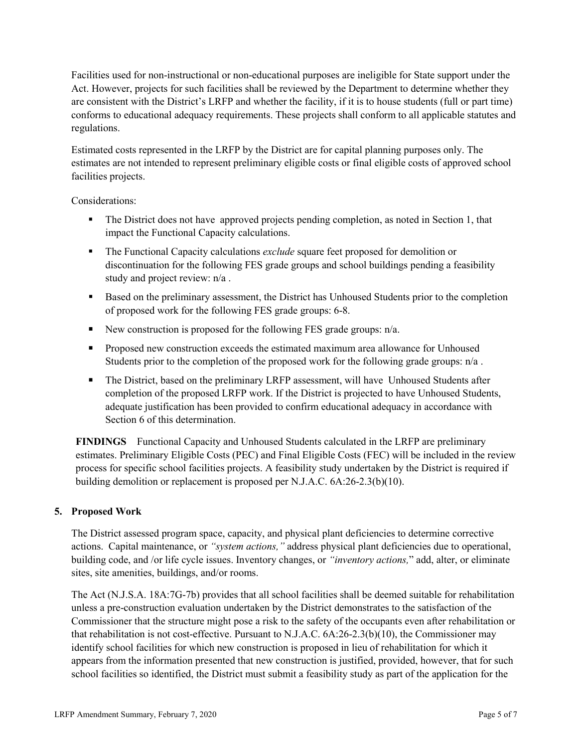Facilities used for non-instructional or non-educational purposes are ineligible for State support under the Act. However, projects for such facilities shall be reviewed by the Department to determine whether they are consistent with the District's LRFP and whether the facility, if it is to house students (full or part time) conforms to educational adequacy requirements. These projects shall conform to all applicable statutes and regulations.

Estimated costs represented in the LRFP by the District are for capital planning purposes only. The estimates are not intended to represent preliminary eligible costs or final eligible costs of approved school facilities projects.

Considerations:

- The District does not have approved projects pending completion, as noted in Section 1, that impact the Functional Capacity calculations.
- The Functional Capacity calculations *exclude* square feet proposed for demolition or discontinuation for the following FES grade groups and school buildings pending a feasibility study and project review: n/a .
- Based on the preliminary assessment, the District has Unhoused Students prior to the completion of proposed work for the following FES grade groups: 6-8.
- New construction is proposed for the following FES grade groups:  $n/a$ .
- **Proposed new construction exceeds the estimated maximum area allowance for Unhoused** Students prior to the completion of the proposed work for the following grade groups:  $n/a$ .
- The District, based on the preliminary LRFP assessment, will have Unhoused Students after completion of the proposed LRFP work. If the District is projected to have Unhoused Students, adequate justification has been provided to confirm educational adequacy in accordance with Section 6 of this determination.

**FINDINGS** Functional Capacity and Unhoused Students calculated in the LRFP are preliminary estimates. Preliminary Eligible Costs (PEC) and Final Eligible Costs (FEC) will be included in the review process for specific school facilities projects. A feasibility study undertaken by the District is required if building demolition or replacement is proposed per N.J.A.C. 6A:26-2.3(b)(10).

# **5. Proposed Work**

The District assessed program space, capacity, and physical plant deficiencies to determine corrective actions. Capital maintenance, or *"system actions,"* address physical plant deficiencies due to operational, building code, and /or life cycle issues. Inventory changes, or *"inventory actions,*" add, alter, or eliminate sites, site amenities, buildings, and/or rooms.

The Act (N.J.S.A. 18A:7G-7b) provides that all school facilities shall be deemed suitable for rehabilitation unless a pre-construction evaluation undertaken by the District demonstrates to the satisfaction of the Commissioner that the structure might pose a risk to the safety of the occupants even after rehabilitation or that rehabilitation is not cost-effective. Pursuant to N.J.A.C. 6A:26-2.3(b)(10), the Commissioner may identify school facilities for which new construction is proposed in lieu of rehabilitation for which it appears from the information presented that new construction is justified, provided, however, that for such school facilities so identified, the District must submit a feasibility study as part of the application for the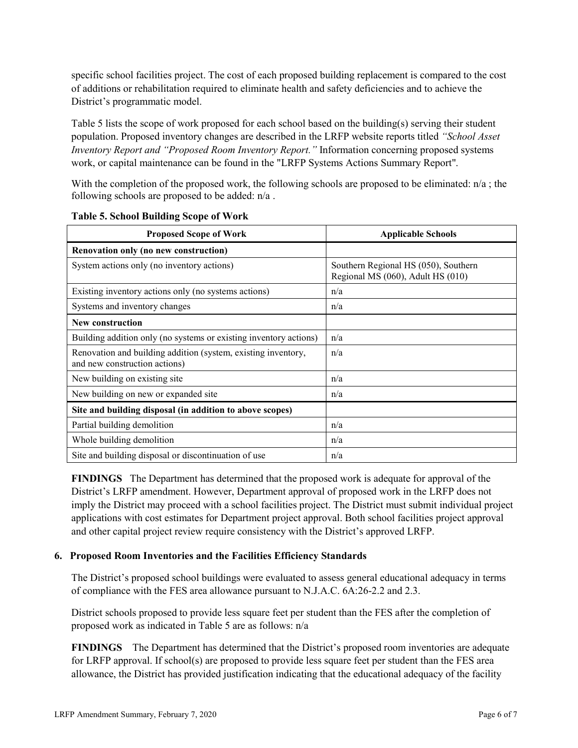specific school facilities project. The cost of each proposed building replacement is compared to the cost of additions or rehabilitation required to eliminate health and safety deficiencies and to achieve the District's programmatic model.

Table 5 lists the scope of work proposed for each school based on the building(s) serving their student population. Proposed inventory changes are described in the LRFP website reports titled *"School Asset Inventory Report and "Proposed Room Inventory Report."* Information concerning proposed systems work, or capital maintenance can be found in the "LRFP Systems Actions Summary Report".

With the completion of the proposed work, the following schools are proposed to be eliminated:  $n/a$ ; the following schools are proposed to be added: n/a .

| <b>Proposed Scope of Work</b>                                                                  | <b>Applicable Schools</b>                                                 |  |  |
|------------------------------------------------------------------------------------------------|---------------------------------------------------------------------------|--|--|
| Renovation only (no new construction)                                                          |                                                                           |  |  |
| System actions only (no inventory actions)                                                     | Southern Regional HS (050), Southern<br>Regional MS (060), Adult HS (010) |  |  |
| Existing inventory actions only (no systems actions)                                           | n/a                                                                       |  |  |
| Systems and inventory changes                                                                  | n/a                                                                       |  |  |
| <b>New construction</b>                                                                        |                                                                           |  |  |
| Building addition only (no systems or existing inventory actions)                              | n/a                                                                       |  |  |
| Renovation and building addition (system, existing inventory,<br>and new construction actions) | n/a                                                                       |  |  |
| New building on existing site                                                                  | n/a                                                                       |  |  |
| New building on new or expanded site                                                           | n/a                                                                       |  |  |
| Site and building disposal (in addition to above scopes)                                       |                                                                           |  |  |
| Partial building demolition                                                                    | n/a                                                                       |  |  |
| Whole building demolition                                                                      | n/a                                                                       |  |  |
| Site and building disposal or discontinuation of use                                           | n/a                                                                       |  |  |

**Table 5. School Building Scope of Work**

**FINDINGS** The Department has determined that the proposed work is adequate for approval of the District's LRFP amendment. However, Department approval of proposed work in the LRFP does not imply the District may proceed with a school facilities project. The District must submit individual project applications with cost estimates for Department project approval. Both school facilities project approval and other capital project review require consistency with the District's approved LRFP.

#### **6. Proposed Room Inventories and the Facilities Efficiency Standards**

The District's proposed school buildings were evaluated to assess general educational adequacy in terms of compliance with the FES area allowance pursuant to N.J.A.C. 6A:26-2.2 and 2.3.

District schools proposed to provide less square feet per student than the FES after the completion of proposed work as indicated in Table 5 are as follows: n/a

**FINDINGS** The Department has determined that the District's proposed room inventories are adequate for LRFP approval. If school(s) are proposed to provide less square feet per student than the FES area allowance, the District has provided justification indicating that the educational adequacy of the facility